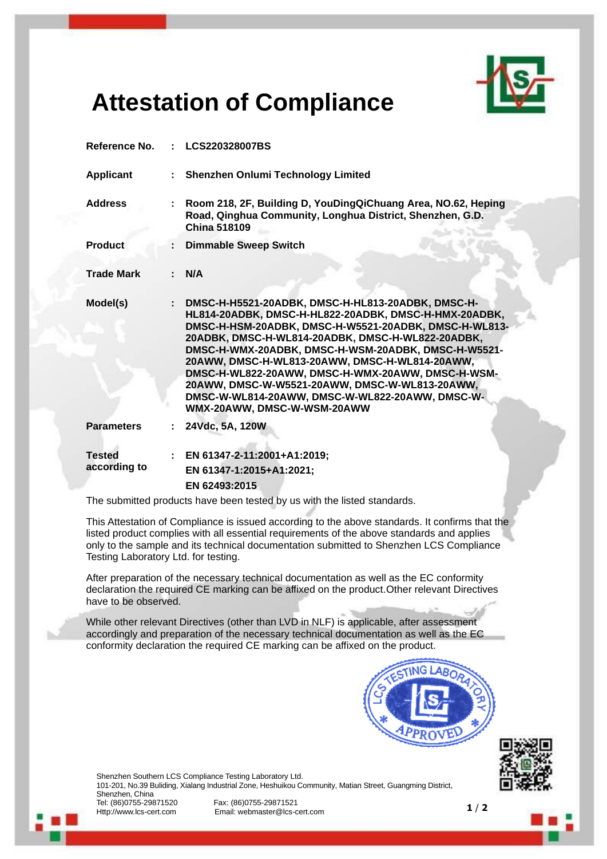

## **Attestation of Compliance**

| Reference No.                 | : LCS220328007BS                                                                                                                                                                                                                                                                                                                                                                                                                                                                                                           |
|-------------------------------|----------------------------------------------------------------------------------------------------------------------------------------------------------------------------------------------------------------------------------------------------------------------------------------------------------------------------------------------------------------------------------------------------------------------------------------------------------------------------------------------------------------------------|
| <b>Applicant</b>              | : Shenzhen Onlumi Technology Limited                                                                                                                                                                                                                                                                                                                                                                                                                                                                                       |
| <b>Address</b>                | Room 218, 2F, Building D, YouDingQiChuang Area, NO.62, Heping<br>Road, Qinghua Community, Longhua District, Shenzhen, G.D.<br><b>China 518109</b>                                                                                                                                                                                                                                                                                                                                                                          |
| <b>Product</b>                | <b>Dimmable Sweep Switch</b><br>÷                                                                                                                                                                                                                                                                                                                                                                                                                                                                                          |
| <b>Trade Mark</b>             | N/A                                                                                                                                                                                                                                                                                                                                                                                                                                                                                                                        |
| Model(s)                      | DMSC-H-H5521-20ADBK, DMSC-H-HL813-20ADBK, DMSC-H-<br>HL814-20ADBK, DMSC-H-HL822-20ADBK, DMSC-H-HMX-20ADBK,<br>DMSC-H-HSM-20ADBK, DMSC-H-W5521-20ADBK, DMSC-H-WL813-<br>20ADBK, DMSC-H-WL814-20ADBK, DMSC-H-WL822-20ADBK,<br>DMSC-H-WMX-20ADBK, DMSC-H-WSM-20ADBK, DMSC-H-W5521-<br>20AWW, DMSC-H-WL813-20AWW, DMSC-H-WL814-20AWW,<br>DMSC-H-WL822-20AWW, DMSC-H-WMX-20AWW, DMSC-H-WSM-<br>20AWW, DMSC-W-W5521-20AWW, DMSC-W-WL813-20AWW,<br>DMSC-W-WL814-20AWW, DMSC-W-WL822-20AWW, DMSC-W-<br>WMX-20AWW, DMSC-W-WSM-20AWW |
| <b>Parameters</b>             | 24Vdc, 5A, 120W                                                                                                                                                                                                                                                                                                                                                                                                                                                                                                            |
| <b>Tested</b><br>according to | EN 61347-2-11:2001+A1:2019;<br>EN 61347-1:2015+A1:2021;<br>EN 62493:2015                                                                                                                                                                                                                                                                                                                                                                                                                                                   |
|                               | The submitted products have been tested by us with the listed standards.                                                                                                                                                                                                                                                                                                                                                                                                                                                   |

This Attestation of Compliance is issued according to the above standards. It confirms that the listed product complies with all essential requirements of the above standards and applies only to the sample and its technical documentation submitted to Shenzhen LCS Compliance Testing Laboratory Ltd. for testing.

After preparation of the necessary technical documentation as well as the EC conformity declaration the required CE marking can be affixed on the product.Other relevant Directives have to be observed.

While other relevant Directives (other than LVD in NLF) is applicable, after assessment accordingly and preparation of the necessary technical documentation as well as the EC conformity declaration the required CE marking can be affixed on the product.





Shenzhen Southern LCS Compliance Testing Laboratory Ltd. 101-201, No.39 Buliding, Xialang Industrial Zone, Heshuikou Community, Matian Street, Guangming District,

Shenzhen, China Tel: (86)0755-29871520<br>
Http://www.lcs-cert.com Email: webmaster@lcs-c

Email: webmaster@lcs-cert.com